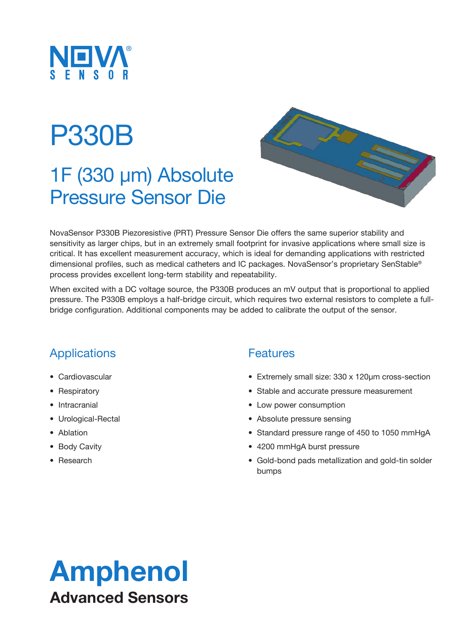

# P330B

### 1F (330 µm) Absolute Pressure Sensor Die



NovaSensor P330B Piezoresistive (PRT) Pressure Sensor Die offers the same superior stability and sensitivity as larger chips, but in an extremely small footprint for invasive applications where small size is critical. It has excellent measurement accuracy, which is ideal for demanding applications with restricted dimensional profiles, such as medical catheters and IC packages. NovaSensor's proprietary SenStable® process provides excellent long-term stability and repeatability.

When excited with a DC voltage source, the P330B produces an mV output that is proportional to applied pressure. The P330B employs a half-bridge circuit, which requires two external resistors to complete a fullbridge configuration. Additional components may be added to calibrate the output of the sensor.

### Applications

- Cardiovascular
- Respiratory
- Intracranial
- Urological-Rectal
- Ablation
- Body Cavity
- Research

#### **Features**

- Extremely small size: 330 x 120µm cross-section
- Stable and accurate pressure measurement
- Low power consumption
- Absolute pressure sensing
- Standard pressure range of 450 to 1050 mmHgA
- 4200 mmHgA burst pressure
- Gold-bond pads metallization and gold-tin solder bumps

# Amphenol Advanced Sensors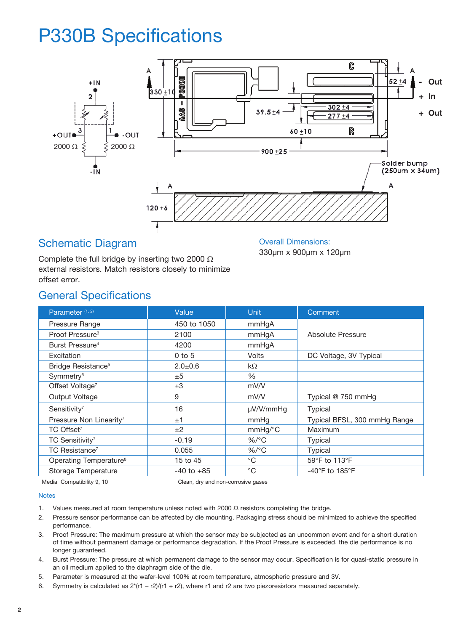### P330B Specifications



#### Schematic Diagram

Complete the full bridge by inserting two 2000 Ω external resistors. Match resistors closely to minimize offset error.

Overall Dimensions: 330µm x 900µm x 120µm

### General Specifications

| Parameter <sup>(1, 2)</sup>         | Value          | <b>Unit</b>           | Comment                             |
|-------------------------------------|----------------|-----------------------|-------------------------------------|
| Pressure Range                      | 450 to 1050    | mmHqA                 |                                     |
| Proof Pressure <sup>3</sup>         | 2100           | mmHqA                 | Absolute Pressure                   |
| Burst Pressure <sup>4</sup>         | 4200           | mmHgA                 |                                     |
| Excitation                          | $0$ to $5$     | Volts                 | DC Voltage, 3V Typical              |
| Bridge Resistance <sup>5</sup>      | $2.0 + 0.6$    | $k\Omega$             |                                     |
| Symmetry <sup>6</sup>               | ±5             | %                     |                                     |
| Offset Voltage <sup>7</sup>         | ±3             | mV/V                  |                                     |
| Output Voltage                      | 9              | mV/V                  | Typical @ 750 mmHg                  |
| Sensitivity <sup>7</sup>            | 16             | µV/V/mmHq             | Typical                             |
| Pressure Non Linearity <sup>7</sup> | ±1             | mmHq                  | Typical BFSL, 300 mmHg Range        |
| TC Offset <sup>7</sup>              | ±2             | $mmHg$ <sup>o</sup> C | Maximum                             |
| TC Sensitivity <sup>7</sup>         | $-0.19$        | $%$ /°C               | Typical                             |
| TC Resistance <sup>7</sup>          | 0.055          | $%$ /°C               | Typical                             |
| Operating Temperature <sup>8</sup>  | 15 to 45       | $^{\circ}$ C          | 59°F to 113°F                       |
| Storage Temperature                 | $-40$ to $+85$ | $^{\circ}$ C          | $-40^{\circ}$ F to 185 $^{\circ}$ F |

Media Compatibility 9, 10 Clean, dry and non-corrosive gases

#### **Notes**

- 1. Values measured at room temperature unless noted with 2000 Ω resistors completing the bridge.
- 2. Pressure sensor performance can be affected by die mounting. Packaging stress should be minimized to achieve the specified performance.
- 3. Proof Pressure: The maximum pressure at which the sensor may be subjected as an uncommon event and for a short duration of time without permanent damage or performance degradation. If the Proof Pressure is exceeded, the die performance is no longer guaranteed.
- 4. Burst Pressure: The pressure at which permanent damage to the sensor may occur. Specification is for quasi-static pressure in an oil medium applied to the diaphragm side of the die.
- 5. Parameter is measured at the wafer-level 100% at room temperature, atmospheric pressure and 3V.
- 6. Symmetry is calculated as  $2^*(r1 r2)/(r1 + r2)$ , where r1 and r2 are two piezoresistors measured separately.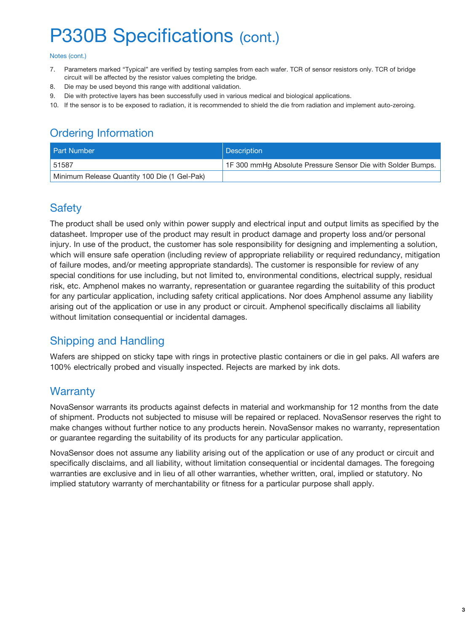### P330B Specifications (cont.)

#### Notes (cont.)

- 7. Parameters marked "Typical" are verified by testing samples from each wafer. TCR of sensor resistors only. TCR of bridge circuit will be affected by the resistor values completing the bridge.
- 8. Die may be used beyond this range with additional validation.
- 9. Die with protective layers has been successfully used in various medical and biological applications.
- 10. If the sensor is to be exposed to radiation, it is recommended to shield the die from radiation and implement auto-zeroing.

### Ordering Information

| <b>Part Number</b>                           | Description                                                 |
|----------------------------------------------|-------------------------------------------------------------|
| 51587                                        | 1F 300 mmHg Absolute Pressure Sensor Die with Solder Bumps. |
| Minimum Release Quantity 100 Die (1 Gel-Pak) |                                                             |

### **Safety**

The product shall be used only within power supply and electrical input and output limits as specified by the datasheet. Improper use of the product may result in product damage and property loss and/or personal injury. In use of the product, the customer has sole responsibility for designing and implementing a solution, which will ensure safe operation (including review of appropriate reliability or required redundancy, mitigation of failure modes, and/or meeting appropriate standards). The customer is responsible for review of any special conditions for use including, but not limited to, environmental conditions, electrical supply, residual risk, etc. Amphenol makes no warranty, representation or guarantee regarding the suitability of this product for any particular application, including safety critical applications. Nor does Amphenol assume any liability arising out of the application or use in any product or circuit. Amphenol specifically disclaims all liability without limitation consequential or incidental damages.

### Shipping and Handling

Wafers are shipped on sticky tape with rings in protective plastic containers or die in gel paks. All wafers are 100% electrically probed and visually inspected. Rejects are marked by ink dots.

### **Warranty**

NovaSensor warrants its products against defects in material and workmanship for 12 months from the date of shipment. Products not subjected to misuse will be repaired or replaced. NovaSensor reserves the right to make changes without further notice to any products herein. NovaSensor makes no warranty, representation or guarantee regarding the suitability of its products for any particular application.

NovaSensor does not assume any liability arising out of the application or use of any product or circuit and specifically disclaims, and all liability, without limitation consequential or incidental damages. The foregoing warranties are exclusive and in lieu of all other warranties, whether written, oral, implied or statutory. No implied statutory warranty of merchantability or fitness for a particular purpose shall apply.